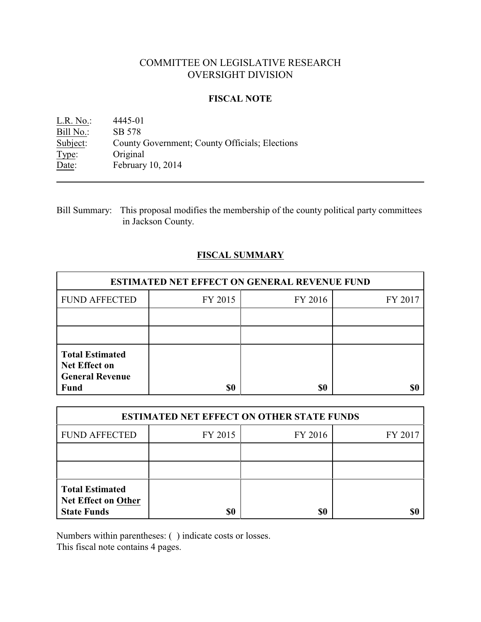# COMMITTEE ON LEGISLATIVE RESEARCH OVERSIGHT DIVISION

#### **FISCAL NOTE**

L.R. No.: 4445-01 Bill No.: SB 578<br>Subject: County County Government; County Officials; Elections Type: Original Date: February 10, 2014

Bill Summary: This proposal modifies the membership of the county political party committees in Jackson County.

### **FISCAL SUMMARY**

| <b>ESTIMATED NET EFFECT ON GENERAL REVENUE FUND</b>                                     |         |         |         |  |
|-----------------------------------------------------------------------------------------|---------|---------|---------|--|
| <b>FUND AFFECTED</b>                                                                    | FY 2015 | FY 2016 | FY 2017 |  |
|                                                                                         |         |         |         |  |
|                                                                                         |         |         |         |  |
| <b>Total Estimated</b><br><b>Net Effect on</b><br><b>General Revenue</b><br><b>Fund</b> | \$0     | \$0     |         |  |

| <b>ESTIMATED NET EFFECT ON OTHER STATE FUNDS</b>                           |         |         |         |  |
|----------------------------------------------------------------------------|---------|---------|---------|--|
| <b>FUND AFFECTED</b>                                                       | FY 2015 | FY 2016 | FY 2017 |  |
|                                                                            |         |         |         |  |
|                                                                            |         |         |         |  |
| <b>Total Estimated</b><br><b>Net Effect on Other</b><br><b>State Funds</b> | \$0     | \$0     |         |  |

Numbers within parentheses: ( ) indicate costs or losses.

This fiscal note contains 4 pages.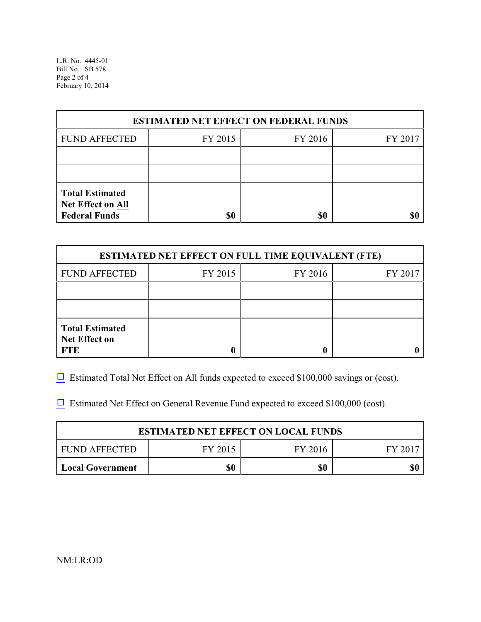L.R. No. 4445-01 Bill No. SB 578 Page 2 of 4 February 10, 2014

| <b>ESTIMATED NET EFFECT ON FEDERAL FUNDS</b>                        |         |         |         |  |
|---------------------------------------------------------------------|---------|---------|---------|--|
| <b>FUND AFFECTED</b>                                                | FY 2015 | FY 2016 | FY 2017 |  |
|                                                                     |         |         |         |  |
|                                                                     |         |         |         |  |
| <b>Total Estimated</b><br>Net Effect on All<br><b>Federal Funds</b> | \$0     | \$0     |         |  |

| <b>ESTIMATED NET EFFECT ON FULL TIME EQUIVALENT (FTE)</b>    |         |         |         |  |
|--------------------------------------------------------------|---------|---------|---------|--|
| <b>FUND AFFECTED</b>                                         | FY 2015 | FY 2016 | FY 2017 |  |
|                                                              |         |         |         |  |
|                                                              |         |         |         |  |
| <b>Total Estimated</b><br><b>Net Effect on</b><br><b>FTE</b> |         |         |         |  |

 $\Box$  Estimated Total Net Effect on All funds expected to exceed \$100,000 savings or (cost).

 $\Box$  Estimated Net Effect on General Revenue Fund expected to exceed \$100,000 (cost).

| <b>ESTIMATED NET EFFECT ON LOCAL FUNDS</b> |         |         |       |  |
|--------------------------------------------|---------|---------|-------|--|
| FUND AFFECTED                              | FY 2015 | FY 2016 | FV 20 |  |
| <b>Local Government</b>                    | \$0     | \$0     |       |  |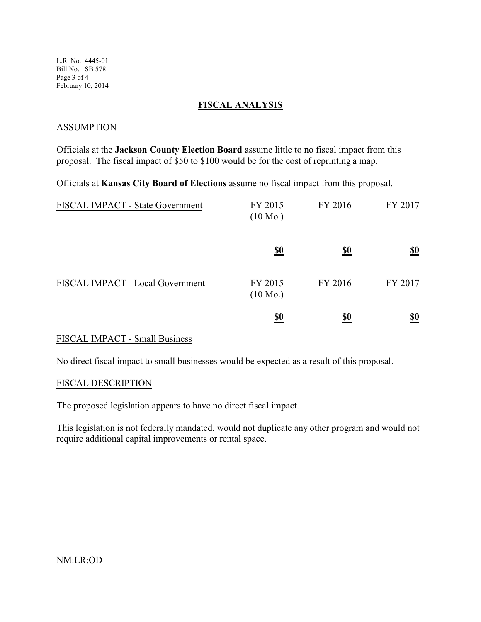#### **FISCAL ANALYSIS**

#### **ASSUMPTION**

Officials at the **Jackson County Election Board** assume little to no fiscal impact from this proposal. The fiscal impact of \$50 to \$100 would be for the cost of reprinting a map.

Officials at **Kansas City Board of Elections** assume no fiscal impact from this proposal.

| FISCAL IMPACT - State Government | FY 2015<br>$(10 \text{ Mo.})$ | FY 2016    | FY 2017                       |
|----------------------------------|-------------------------------|------------|-------------------------------|
|                                  | $\underline{\underline{\$0}}$ | <u>\$0</u> | $\underline{\underline{\$0}}$ |
| FISCAL IMPACT - Local Government | FY 2015<br>$(10 \text{ Mo.})$ | FY 2016    | FY 2017                       |
|                                  | <u>\$0</u>                    | <u>\$0</u> | <u>\$0</u>                    |

#### FISCAL IMPACT - Small Business

No direct fiscal impact to small businesses would be expected as a result of this proposal.

#### FISCAL DESCRIPTION

The proposed legislation appears to have no direct fiscal impact.

This legislation is not federally mandated, would not duplicate any other program and would not require additional capital improvements or rental space.